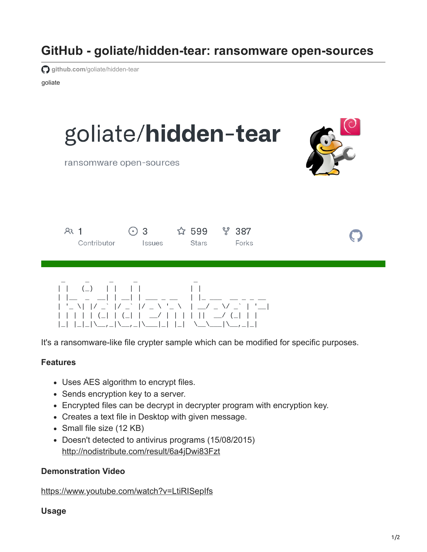# **GitHub - goliate/hidden-tear: ransomware open-sources**

**github.com[/goliate/hidden-tear](https://github.com/goliate/hidden-tear)** 

goliate



It's a ransomware-like file crypter sample which can be modified for specific purposes.

### **Features**

- Uses AES algorithm to encrypt files.
- Sends encryption key to a server.
- Encrypted files can be decrypt in decrypter program with encryption key.
- Creates a text file in Desktop with given message.
- Small file size (12 KB)
- Doesn't detected to antivirus programs (15/08/2015) <http://nodistribute.com/result/6a4jDwi83Fzt>

## **Demonstration Video**

<https://www.youtube.com/watch?v=LtiRISepIfs>

### **Usage**